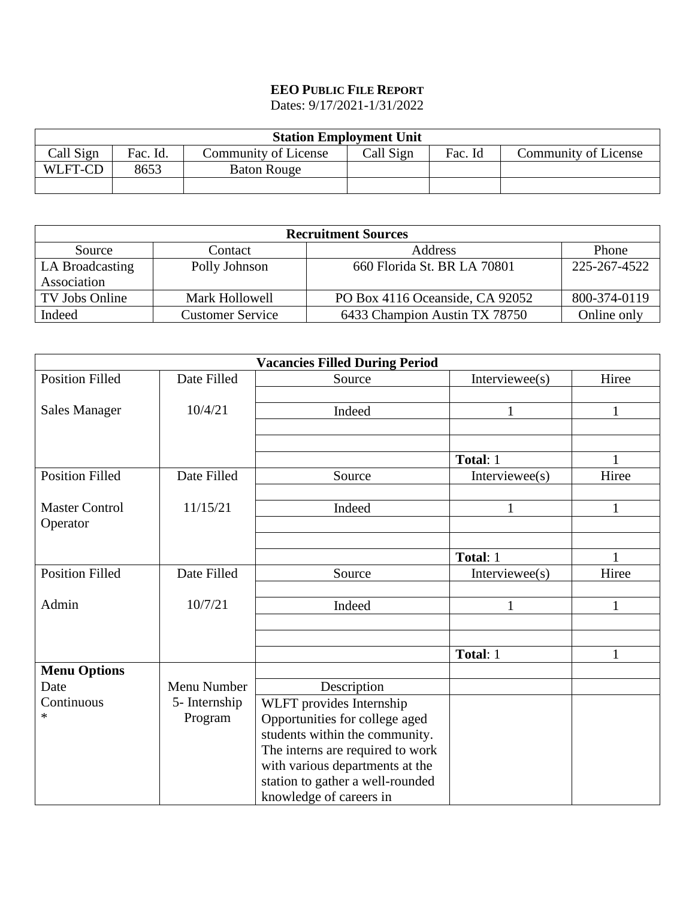## **EEO PUBLIC FILE REPORT**

Dates: 9/17/2021-1/31/2022

| <b>Station Employment Unit</b> |          |                      |           |         |                      |  |  |
|--------------------------------|----------|----------------------|-----------|---------|----------------------|--|--|
| Call Sign                      | Fac. Id. | Community of License | Call Sign | Fac. Id | Community of License |  |  |
| WLFT-CD                        | 8653     | <b>Baton Rouge</b>   |           |         |                      |  |  |
|                                |          |                      |           |         |                      |  |  |

| <b>Recruitment Sources</b>     |                         |                                 |              |  |  |
|--------------------------------|-------------------------|---------------------------------|--------------|--|--|
| Source                         | Contact                 | Address                         | Phone        |  |  |
| LA Broadcasting<br>Association | Polly Johnson           | 660 Florida St. BR LA 70801     | 225-267-4522 |  |  |
| TV Jobs Online                 | Mark Hollowell          | PO Box 4116 Oceanside, CA 92052 | 800-374-0119 |  |  |
| Indeed                         | <b>Customer Service</b> | 6433 Champion Austin TX 78750   | Online only  |  |  |

| <b>Vacancies Filled During Period</b> |               |                                  |                   |              |  |  |
|---------------------------------------|---------------|----------------------------------|-------------------|--------------|--|--|
| <b>Position Filled</b>                | Date Filled   | Source                           | Interviewee $(s)$ | Hiree        |  |  |
|                                       |               |                                  |                   |              |  |  |
| <b>Sales Manager</b>                  | 10/4/21       | Indeed                           | $\mathbf{1}$      | $\mathbf{1}$ |  |  |
|                                       |               |                                  |                   |              |  |  |
|                                       |               |                                  |                   |              |  |  |
|                                       |               |                                  | Total: 1          | 1            |  |  |
| <b>Position Filled</b>                | Date Filled   | Source                           | Interviewee $(s)$ | Hiree        |  |  |
|                                       |               |                                  |                   |              |  |  |
| <b>Master Control</b>                 | 11/15/21      | Indeed                           |                   | 1            |  |  |
| Operator                              |               |                                  |                   |              |  |  |
|                                       |               |                                  |                   |              |  |  |
|                                       |               |                                  | Total: 1          |              |  |  |
| <b>Position Filled</b>                | Date Filled   | Source                           | Interviewee $(s)$ | Hiree        |  |  |
|                                       |               |                                  |                   |              |  |  |
| Admin                                 | 10/7/21       | Indeed                           | $\mathbf{1}$      | $\mathbf{1}$ |  |  |
|                                       |               |                                  |                   |              |  |  |
|                                       |               |                                  |                   |              |  |  |
|                                       |               |                                  | Total: 1          | 1            |  |  |
| <b>Menu Options</b>                   |               |                                  |                   |              |  |  |
| Date                                  | Menu Number   | Description                      |                   |              |  |  |
| Continuous                            | 5- Internship | WLFT provides Internship         |                   |              |  |  |
| ∗                                     | Program       | Opportunities for college aged   |                   |              |  |  |
|                                       |               | students within the community.   |                   |              |  |  |
|                                       |               | The interns are required to work |                   |              |  |  |
|                                       |               | with various departments at the  |                   |              |  |  |
|                                       |               | station to gather a well-rounded |                   |              |  |  |
|                                       |               | knowledge of careers in          |                   |              |  |  |